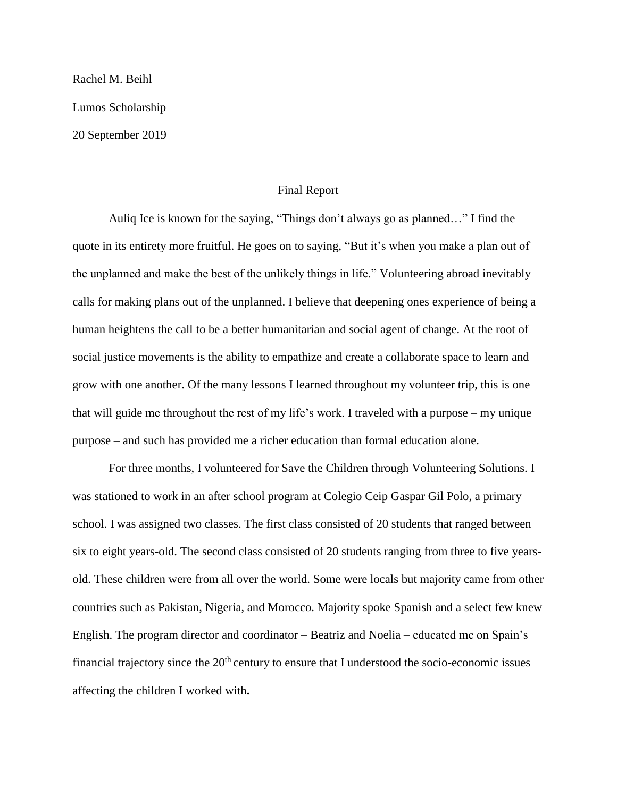Rachel M. Beihl

Lumos Scholarship

20 September 2019

## Final Report

Auliq Ice is known for the saying, "Things don't always go as planned…" I find the quote in its entirety more fruitful. He goes on to saying, "But it's when you make a plan out of the unplanned and make the best of the unlikely things in life." Volunteering abroad inevitably calls for making plans out of the unplanned. I believe that deepening ones experience of being a human heightens the call to be a better humanitarian and social agent of change. At the root of social justice movements is the ability to empathize and create a collaborate space to learn and grow with one another. Of the many lessons I learned throughout my volunteer trip, this is one that will guide me throughout the rest of my life's work. I traveled with a purpose – my unique purpose – and such has provided me a richer education than formal education alone.

For three months, I volunteered for Save the Children through Volunteering Solutions. I was stationed to work in an after school program at Colegio Ceip Gaspar Gil Polo, a primary school. I was assigned two classes. The first class consisted of 20 students that ranged between six to eight years-old. The second class consisted of 20 students ranging from three to five yearsold. These children were from all over the world. Some were locals but majority came from other countries such as Pakistan, Nigeria, and Morocco. Majority spoke Spanish and a select few knew English. The program director and coordinator – Beatriz and Noelia – educated me on Spain's financial trajectory since the  $20<sup>th</sup>$  century to ensure that I understood the socio-economic issues affecting the children I worked with**.**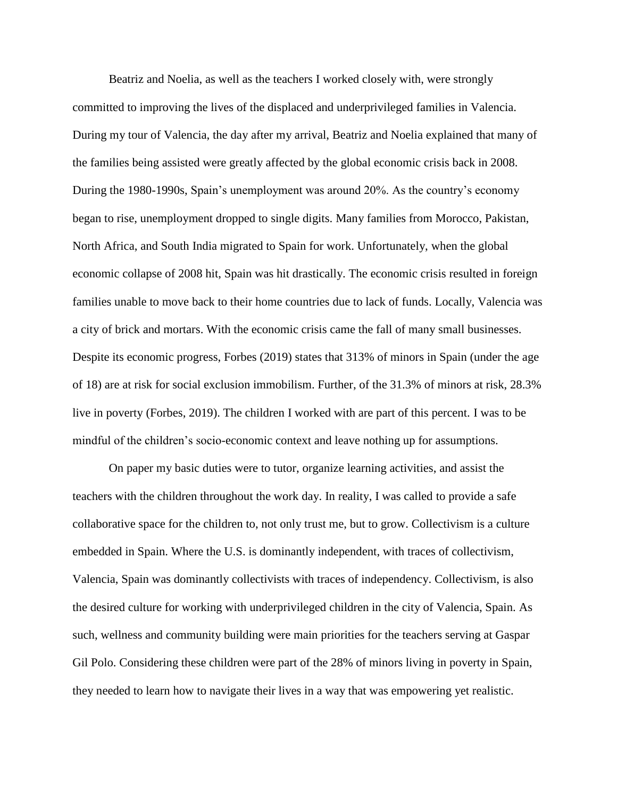Beatriz and Noelia, as well as the teachers I worked closely with, were strongly committed to improving the lives of the displaced and underprivileged families in Valencia. During my tour of Valencia, the day after my arrival, Beatriz and Noelia explained that many of the families being assisted were greatly affected by the global economic crisis back in 2008. During the 1980-1990s, Spain's unemployment was around 20%. As the country's economy began to rise, unemployment dropped to single digits. Many families from Morocco, Pakistan, North Africa, and South India migrated to Spain for work. Unfortunately, when the global economic collapse of 2008 hit, Spain was hit drastically. The economic crisis resulted in foreign families unable to move back to their home countries due to lack of funds. Locally, Valencia was a city of brick and mortars. With the economic crisis came the fall of many small businesses. Despite its economic progress, Forbes (2019) states that 313% of minors in Spain (under the age of 18) are at risk for social exclusion immobilism. Further, of the 31.3% of minors at risk, 28.3% live in poverty (Forbes, 2019). The children I worked with are part of this percent. I was to be mindful of the children's socio-economic context and leave nothing up for assumptions.

On paper my basic duties were to tutor, organize learning activities, and assist the teachers with the children throughout the work day. In reality, I was called to provide a safe collaborative space for the children to, not only trust me, but to grow. Collectivism is a culture embedded in Spain. Where the U.S. is dominantly independent, with traces of collectivism, Valencia, Spain was dominantly collectivists with traces of independency. Collectivism, is also the desired culture for working with underprivileged children in the city of Valencia, Spain. As such, wellness and community building were main priorities for the teachers serving at Gaspar Gil Polo. Considering these children were part of the 28% of minors living in poverty in Spain, they needed to learn how to navigate their lives in a way that was empowering yet realistic.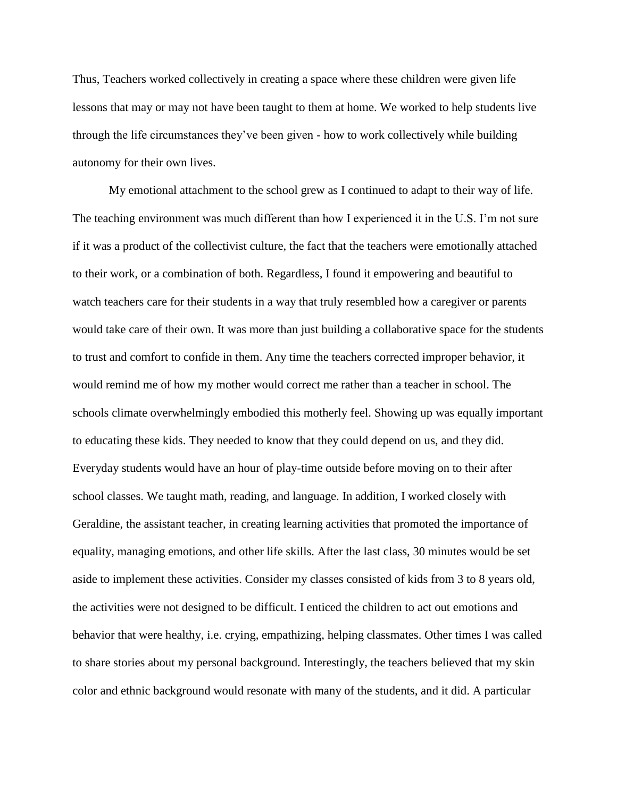Thus, Teachers worked collectively in creating a space where these children were given life lessons that may or may not have been taught to them at home. We worked to help students live through the life circumstances they've been given - how to work collectively while building autonomy for their own lives.

My emotional attachment to the school grew as I continued to adapt to their way of life. The teaching environment was much different than how I experienced it in the U.S. I'm not sure if it was a product of the collectivist culture, the fact that the teachers were emotionally attached to their work, or a combination of both. Regardless, I found it empowering and beautiful to watch teachers care for their students in a way that truly resembled how a caregiver or parents would take care of their own. It was more than just building a collaborative space for the students to trust and comfort to confide in them. Any time the teachers corrected improper behavior, it would remind me of how my mother would correct me rather than a teacher in school. The schools climate overwhelmingly embodied this motherly feel. Showing up was equally important to educating these kids. They needed to know that they could depend on us, and they did. Everyday students would have an hour of play-time outside before moving on to their after school classes. We taught math, reading, and language. In addition, I worked closely with Geraldine, the assistant teacher, in creating learning activities that promoted the importance of equality, managing emotions, and other life skills. After the last class, 30 minutes would be set aside to implement these activities. Consider my classes consisted of kids from 3 to 8 years old, the activities were not designed to be difficult. I enticed the children to act out emotions and behavior that were healthy, i.e. crying, empathizing, helping classmates. Other times I was called to share stories about my personal background. Interestingly, the teachers believed that my skin color and ethnic background would resonate with many of the students, and it did. A particular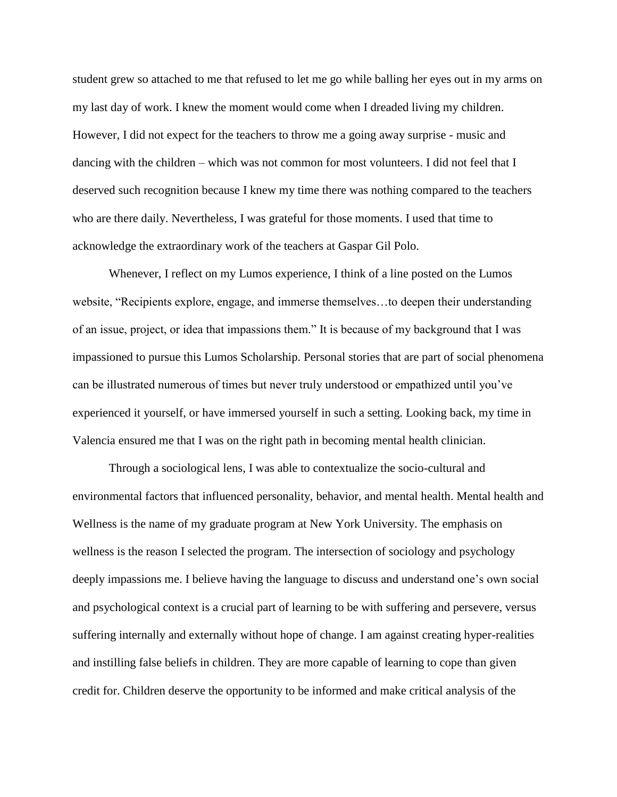student grew so attached to me that refused to let me go while balling her eyes out in my arms on my last day of work. I knew the moment would come when I dreaded living my children. However, I did not expect for the teachers to throw me a going away surprise - music and dancing with the children – which was not common for most volunteers. I did not feel that I deserved such recognition because I knew my time there was nothing compared to the teachers who are there daily. Nevertheless, I was grateful for those moments. I used that time to acknowledge the extraordinary work of the teachers at Gaspar Gil Polo.

Whenever, I reflect on my Lumos experience, I think of a line posted on the Lumos website, "Recipients explore, engage, and immerse themselves…to deepen their understanding of an issue, project, or idea that impassions them." It is because of my background that I was impassioned to pursue this Lumos Scholarship. Personal stories that are part of social phenomena can be illustrated numerous of times but never truly understood or empathized until you've experienced it yourself, or have immersed yourself in such a setting. Looking back, my time in Valencia ensured me that I was on the right path in becoming mental health clinician.

Through a sociological lens, I was able to contextualize the socio-cultural and environmental factors that influenced personality, behavior, and mental health. Mental health and Wellness is the name of my graduate program at New York University. The emphasis on wellness is the reason I selected the program. The intersection of sociology and psychology deeply impassions me. I believe having the language to discuss and understand one's own social and psychological context is a crucial part of learning to be with suffering and persevere, versus suffering internally and externally without hope of change. I am against creating hyper-realities and instilling false beliefs in children. They are more capable of learning to cope than given credit for. Children deserve the opportunity to be informed and make critical analysis of the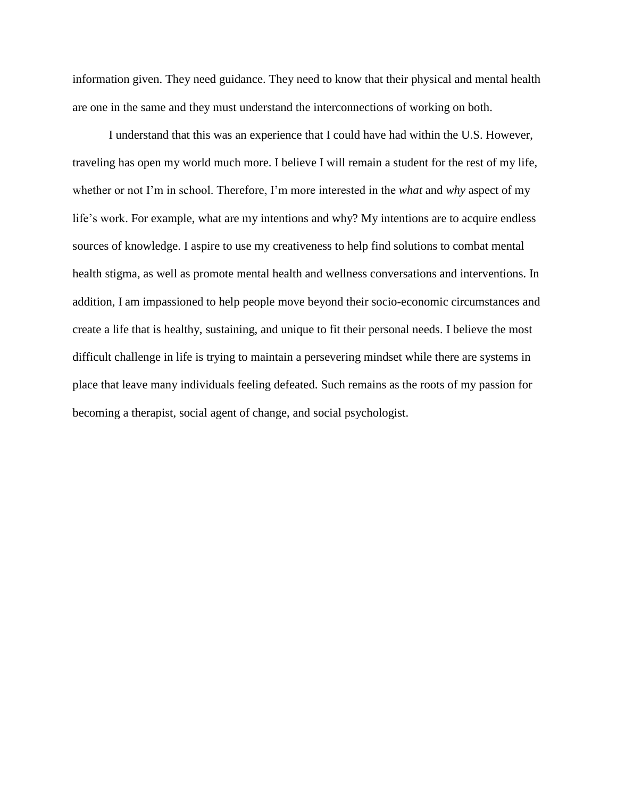information given. They need guidance. They need to know that their physical and mental health are one in the same and they must understand the interconnections of working on both.

I understand that this was an experience that I could have had within the U.S. However, traveling has open my world much more. I believe I will remain a student for the rest of my life, whether or not I'm in school. Therefore, I'm more interested in the *what* and *why* aspect of my life's work. For example, what are my intentions and why? My intentions are to acquire endless sources of knowledge. I aspire to use my creativeness to help find solutions to combat mental health stigma, as well as promote mental health and wellness conversations and interventions. In addition, I am impassioned to help people move beyond their socio-economic circumstances and create a life that is healthy, sustaining, and unique to fit their personal needs. I believe the most difficult challenge in life is trying to maintain a persevering mindset while there are systems in place that leave many individuals feeling defeated. Such remains as the roots of my passion for becoming a therapist, social agent of change, and social psychologist.